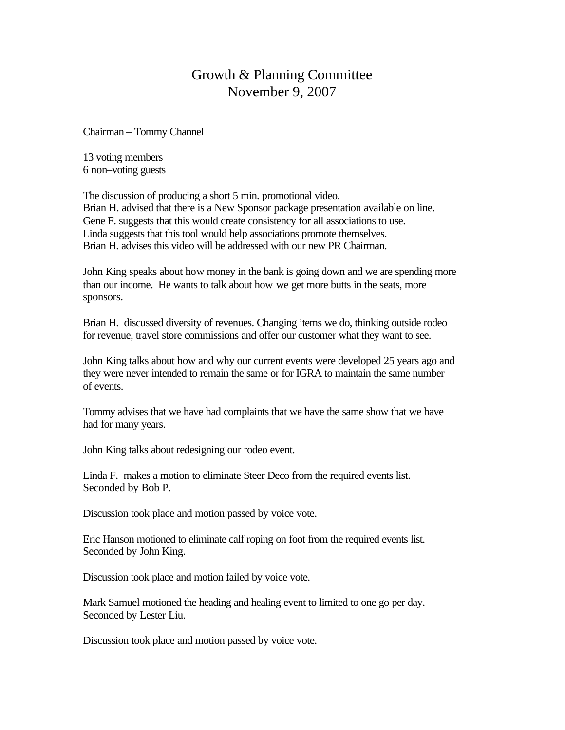## Growth & Planning Committee November 9, 2007

Chairman – Tommy Channel

13 voting members 6 non–voting guests

The discussion of producing a short 5 min. promotional video. Brian H. advised that there is a New Sponsor package presentation available on line. Gene F. suggests that this would create consistency for all associations to use. Linda suggests that this tool would help associations promote themselves. Brian H. advises this video will be addressed with our new PR Chairman.

John King speaks about how money in the bank is going down and we are spending more than our income. He wants to talk about how we get more butts in the seats, more sponsors.

Brian H. discussed diversity of revenues. Changing items we do, thinking outside rodeo for revenue, travel store commissions and offer our customer what they want to see.

John King talks about how and why our current events were developed 25 years ago and they were never intended to remain the same or for IGRA to maintain the same number of events.

Tommy advises that we have had complaints that we have the same show that we have had for many years.

John King talks about redesigning our rodeo event.

Linda F. makes a motion to eliminate Steer Deco from the required events list. Seconded by Bob P.

Discussion took place and motion passed by voice vote.

Eric Hanson motioned to eliminate calf roping on foot from the required events list. Seconded by John King.

Discussion took place and motion failed by voice vote.

Mark Samuel motioned the heading and healing event to limited to one go per day. Seconded by Lester Liu.

Discussion took place and motion passed by voice vote.